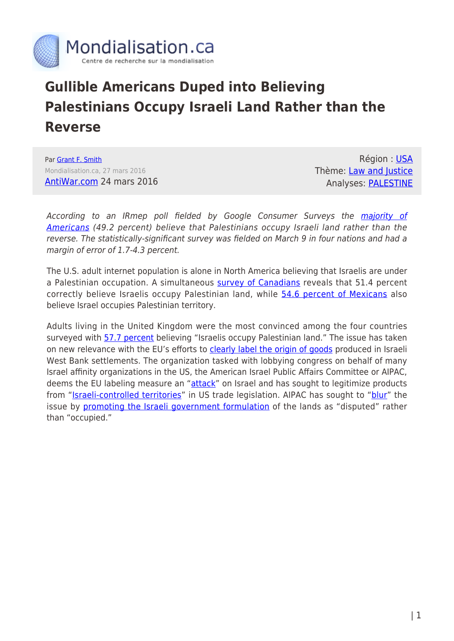

## **Gullible Americans Duped into Believing Palestinians Occupy Israeli Land Rather than the Reverse**

Par [Grant F. Smith](https://www.mondialisation.ca/author/grant-f-smith) Mondialisation.ca, 27 mars 2016 [AntiWar.com](http://original.antiwar.com/smith-grant/2016/03/24/most-americans-believe-palestinians-occupy-israeli-land/) 24 mars 2016

Région : [USA](https://www.mondialisation.ca/region/usa) Thème: [Law and Justice](https://www.mondialisation.ca/theme/law-and-justice) Analyses: [PALESTINE](https://www.mondialisation.ca/indepthreport/palestine)

According to an IRmep poll fielded by Google Consumer Surveys the *majority of* [Americans](http://www.google.com/insights/consumersurveys/view?survey=fx4dbfdfoq2ik&question=1&filter=&rw=1) (49.2 percent) believe that Palestinians occupy Israeli land rather than the reverse. The statistically-significant survey was fielded on March 9 in four nations and had a margin of error of 1.7-4.3 percent.

The U.S. adult internet population is alone in North America believing that Israelis are under a Palestinian occupation. A simultaneous [survey of Canadians](http://www.google.com/insights/consumersurveys/view?survey=2inkqaynowqjw&question=1&filter=&rw=1) reveals that 51.4 percent correctly believe Israelis occupy Palestinian land, while [54.6 percent of Mexicans](http://www.google.com/insights/consumersurveys/view?survey=t5zeplfyxulbc&question=1&filter=&rw=1) also believe Israel occupies Palestinian territory.

Adults living in the United Kingdom were the most convinced among the four countries surveyed with [57.7 percent](http://www.google.com/insights/consumersurveys/view?survey=drt5uldzf4w36&question=1&filter=&rw=1) believing "Israelis occupy Palestinian land." The issue has taken on new relevance with the EU's efforts to [clearly label the origin of goods](http://www.theguardian.com/world/2015/nov/11/eu-sets-guidelines-on-labelling-products-from-israeli-settlements) produced in Israeli West Bank settlements. The organization tasked with lobbying congress on behalf of many Israel affinity organizations in the US, the American Israel Public Affairs Committee or AIPAC, deems the EU labeling measure an "[attack"](http://www.aipac.org/news-hub?id=%7B644B4DD6-5BB8-4D11-834C-32FA168DEFAB%7D) on Israel and has sought to legitimize products from "**[Israeli-controlled territories](http://mondoweiss.net/2016/02/obama-to-sign-aipac-promoted-trade-bill-that-legitimizes-israeli-occupation-and-fights-bds/)**" in US trade legislation. AIPAC has sought to ["blur"](http://www.aipac.org/news-hub?id=%7B644B4DD6-5BB8-4D11-834C-32FA168DEFAB%7D) the issue by [promoting the Israeli government formulation](http://mfa.gov.il/MFA/MFA-Archive/2003/Pages/DISPUTED%20TERRITORIES-%20Forgotten%20Facts%20About%20the%20We.aspx) of the lands as "disputed" rather than "occupied."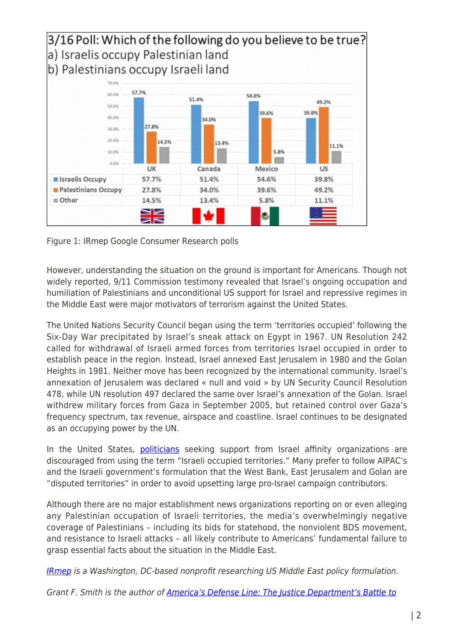

Figure 1: IRmep Google Consumer Research polls

However, understanding the situation on the ground is important for Americans. Though not widely reported, 9/11 Commission testimony revealed that Israel's ongoing occupation and humiliation of Palestinians and unconditional US support for Israel and repressive regimes in the Middle East were major motivators of terrorism against the United States.

The United Nations Security Council began using the term 'territories occupied' following the Six-Day War precipitated by Israel's sneak attack on Egypt in 1967. UN Resolution 242 called for withdrawal of Israeli armed forces from territories Israel occupied in order to establish peace in the region. Instead, Israel annexed East Jerusalem in 1980 and the Golan Heights in 1981. Neither move has been recognized by the international community. Israel's annexation of Jerusalem was declared « null and void » by UN Security Council Resolution 478, while UN resolution 497 declared the same over Israel's annexation of the Golan. Israel withdrew military forces from Gaza in September 2005, but retained control over Gaza's frequency spectrum, tax revenue, airspace and coastline. Israel continues to be designated as an occupying power by the UN.

In the United States, [politicians](https://www.washingtonpost.com/news/the-fix/wp/2014/04/01/why-chris-christies-occupied-territory-remark-was-significant/) seeking support from Israel affinity organizations are discouraged from using the term "Israeli occupied territories." Many prefer to follow AIPAC's and the Israeli government's formulation that the West Bank, East Jerusalem and Golan are "disputed territories" in order to avoid upsetting large pro-Israel campaign contributors.

Although there are no major establishment news organizations reporting on or even alleging any Palestinian occupation of Israeli territories, the media's overwhelmingly negative coverage of Palestinians – including its bids for statehood, the nonviolent BDS movement, and resistance to Israeli attacks – all likely contribute to Americans' fundamental failure to grasp essential facts about the situation in the Middle East.

[IRmep](http://www.irmep.org/) is a Washington, DC-based nonprofit researching US Middle East policy formulation.

Grant F. Smith is the author of [America's Defense Line: The Justice Department's Battle to](http://www.powells.com/partner/36683/biblio/0976443759?p_isbn)